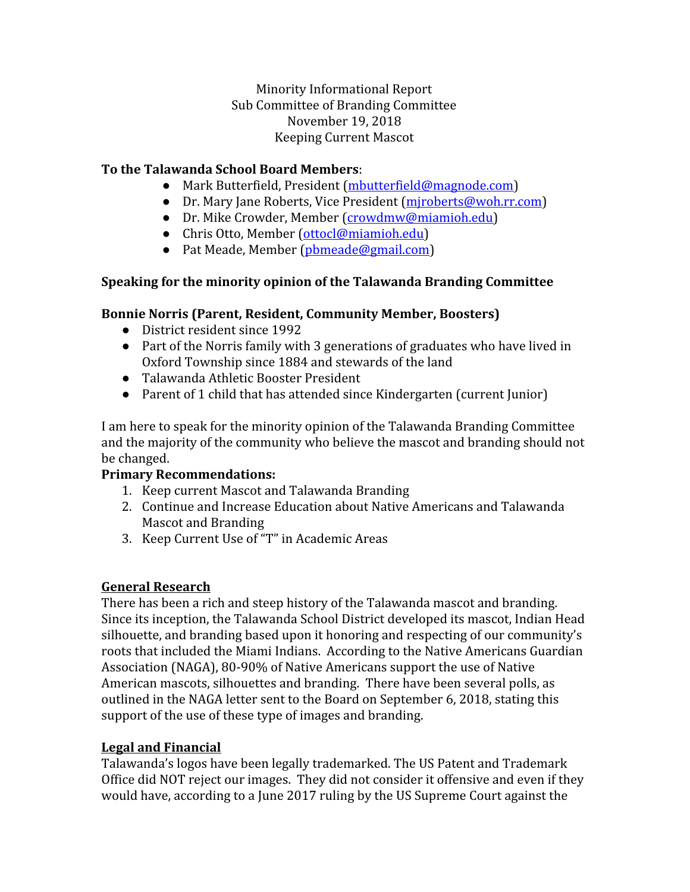Minority Informational Report Sub Committee of Branding Committee November 19, 2018 Keeping Current Mascot

## **To the Talawanda School Board Members**:

- Mark Butterfield, President ([mbutterfield@magnode.com\)](mailto:mbutterfield@magnode.com)
- Dr. Mary Jane Roberts, Vice President (miroberts@woh.rr.com)
- Dr. Mike Crowder, Member ([crowdmw@miamioh.edu\)](mailto:crowdmw@miamioh.edu)
- Chris Otto, Member [\(ottocl@miamioh.edu](mailto:ottocl@miamioh.edu))
- Pat Meade, Member ([pbmeade@gmail.com](mailto:pbmeade@gmail.com))

# **Speaking for the minority opinion of the Talawanda Branding Committee**

### **Bonnie Norris (Parent, Resident, Community Member, Boosters)**

- District resident since 1992
- Part of the Norris family with 3 generations of graduates who have lived in Oxford Township since 1884 and stewards of the land
- Talawanda Athletic Booster President
- Parent of 1 child that has attended since Kindergarten (current Junior)

I am here to speak for the minority opinion of the Talawanda Branding Committee and the majority of the community who believe the mascot and branding should not be changed.

# **Primary Recommendations:**

- 1. Keep current Mascot and Talawanda Branding
- 2. Continue and Increase Education about Native Americans and Talawanda Mascot and Branding
- 3. Keep Current Use of "T" in Academic Areas

#### **General Research**

There has been a rich and steep history of the Talawanda mascot and branding. Since its inception, the Talawanda School District developed its mascot, Indian Head silhouette, and branding based upon it honoring and respecting of our community's roots that included the Miami Indians. According to the Native Americans Guardian Association (NAGA), 80-90% of Native Americans support the use of Native American mascots, silhouettes and branding. There have been several polls, as outlined in the NAGA letter sent to the Board on September 6, 2018, stating this support of the use of these type of images and branding.

# **Legal and Financial**

Talawanda's logos have been legally trademarked. The US Patent and Trademark Office did NOT reject our images. They did not consider it offensive and even if they would have, according to a June 2017 ruling by the US Supreme Court against the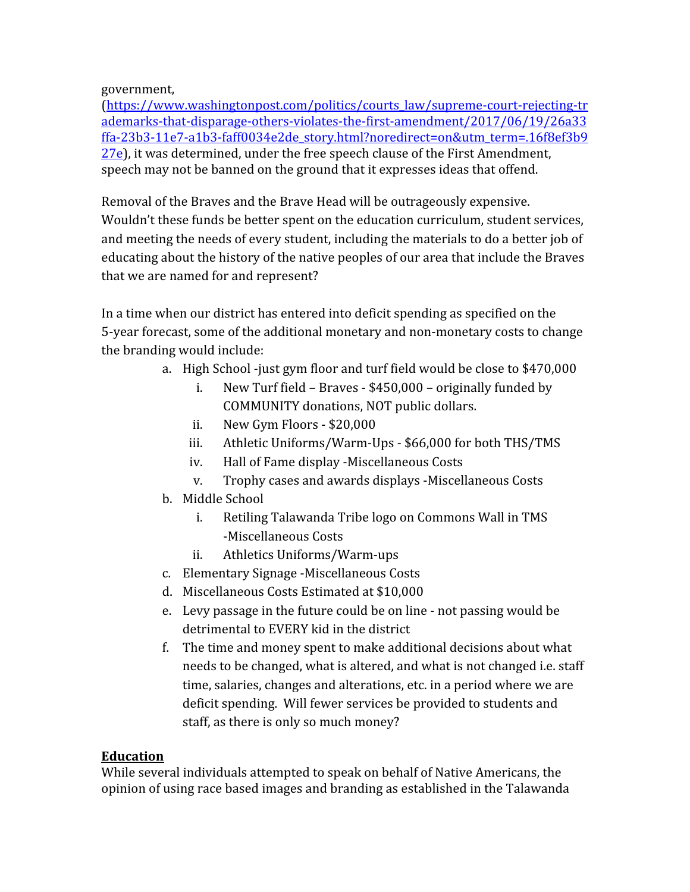government,

[\(https://www.washingtonpost.com/politics/courts\\_law/supreme-court-rejecting-tr](https://www.washingtonpost.com/politics/courts_law/supreme-court-rejecting-trademarks-that-disparage-others-violates-the-first-amendment/2017/06/19/26a33ffa-23b3-11e7-a1b3-faff0034e2de_story.html?noredirect=on&utm_term=.16f8ef3b927e) [ademarks-that-disparage-others-violates-the-first-amendment/2017/06/19/26a33](https://www.washingtonpost.com/politics/courts_law/supreme-court-rejecting-trademarks-that-disparage-others-violates-the-first-amendment/2017/06/19/26a33ffa-23b3-11e7-a1b3-faff0034e2de_story.html?noredirect=on&utm_term=.16f8ef3b927e) [ffa-23b3-11e7-a1b3-faff0034e2de\\_story.html?noredirect=on&utm\\_term=.16f8ef3b9](https://www.washingtonpost.com/politics/courts_law/supreme-court-rejecting-trademarks-that-disparage-others-violates-the-first-amendment/2017/06/19/26a33ffa-23b3-11e7-a1b3-faff0034e2de_story.html?noredirect=on&utm_term=.16f8ef3b927e) [27e\)](https://www.washingtonpost.com/politics/courts_law/supreme-court-rejecting-trademarks-that-disparage-others-violates-the-first-amendment/2017/06/19/26a33ffa-23b3-11e7-a1b3-faff0034e2de_story.html?noredirect=on&utm_term=.16f8ef3b927e), it was determined, under the free speech clause of the First Amendment, speech may not be banned on the ground that it expresses ideas that offend.

Removal of the Braves and the Brave Head will be outrageously expensive. Wouldn't these funds be better spent on the education curriculum, student services, and meeting the needs of every student, including the materials to do a better job of educating about the history of the native peoples of our area that include the Braves that we are named for and represent?

In a time when our district has entered into deficit spending as specified on the 5-year forecast, some of the additional monetary and non-monetary costs to change the branding would include:

- a. High School -just gym floor and turf field would be close to \$470,000
	- i. New Turf field Braves \$450,000 originally funded by COMMUNITY donations, NOT public dollars.
	- ii. New Gym Floors \$20,000
	- iii. Athletic Uniforms/Warm-Ups \$66,000 for both THS/TMS
	- iv. Hall of Fame display -Miscellaneous Costs
	- v. Trophy cases and awards displays -Miscellaneous Costs
- b. Middle School
	- i. Retiling Talawanda Tribe logo on Commons Wall in TMS -Miscellaneous Costs
	- ii. Athletics Uniforms/Warm-ups
- c. Elementary Signage -Miscellaneous Costs
- d. Miscellaneous Costs Estimated at \$10,000
- e. Levy passage in the future could be on line not passing would be detrimental to EVERY kid in the district
- f. The time and money spent to make additional decisions about what needs to be changed, what is altered, and what is not changed i.e. staff time, salaries, changes and alterations, etc. in a period where we are deficit spending. Will fewer services be provided to students and staff, as there is only so much money?

# **Education**

While several individuals attempted to speak on behalf of Native Americans, the opinion of using race based images and branding as established in the Talawanda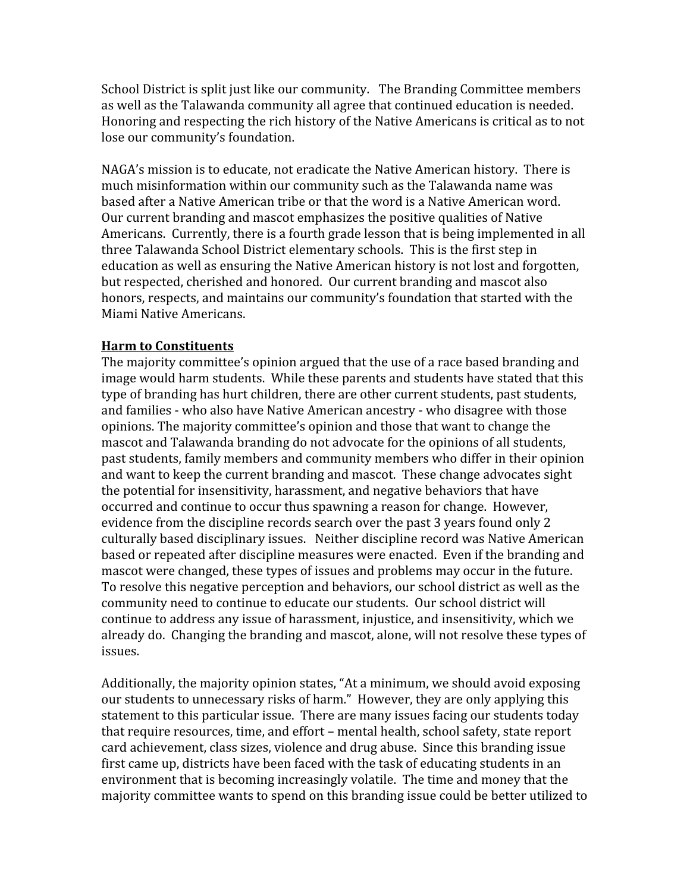School District is split just like our community. The Branding Committee members as well as the Talawanda community all agree that continued education is needed. Honoring and respecting the rich history of the Native Americans is critical as to not lose our community's foundation.

NAGA's mission is to educate, not eradicate the Native American history. There is much misinformation within our community such as the Talawanda name was based after a Native American tribe or that the word is a Native American word. Our current branding and mascot emphasizes the positive qualities of Native Americans. Currently, there is a fourth grade lesson that is being implemented in all three Talawanda School District elementary schools. This is the first step in education as well as ensuring the Native American history is not lost and forgotten, but respected, cherished and honored. Our current branding and mascot also honors, respects, and maintains our community's foundation that started with the Miami Native Americans.

#### **Harm to Constituents**

The majority committee's opinion argued that the use of a race based branding and image would harm students. While these parents and students have stated that this type of branding has hurt children, there are other current students, past students, and families - who also have Native American ancestry - who disagree with those opinions. The majority committee's opinion and those that want to change the mascot and Talawanda branding do not advocate for the opinions of all students, past students, family members and community members who differ in their opinion and want to keep the current branding and mascot. These change advocates sight the potential for insensitivity, harassment, and negative behaviors that have occurred and continue to occur thus spawning a reason for change. However, evidence from the discipline records search over the past 3 years found only 2 culturally based disciplinary issues. Neither discipline record was Native American based or repeated after discipline measures were enacted. Even if the branding and mascot were changed, these types of issues and problems may occur in the future. To resolve this negative perception and behaviors, our school district as well as the community need to continue to educate our students. Our school district will continue to address any issue of harassment, injustice, and insensitivity, which we already do. Changing the branding and mascot, alone, will not resolve these types of issues.

Additionally, the majority opinion states, "At a minimum, we should avoid exposing our students to unnecessary risks of harm." However, they are only applying this statement to this particular issue. There are many issues facing our students today that require resources, time, and effort – mental health, school safety, state report card achievement, class sizes, violence and drug abuse. Since this branding issue first came up, districts have been faced with the task of educating students in an environment that is becoming increasingly volatile. The time and money that the majority committee wants to spend on this branding issue could be better utilized to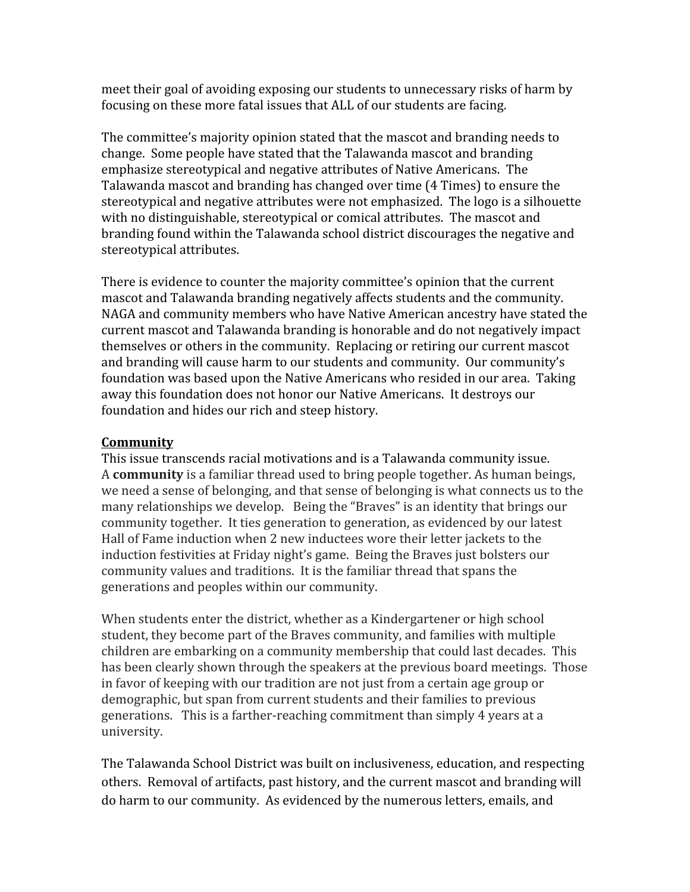meet their goal of avoiding exposing our students to unnecessary risks of harm by focusing on these more fatal issues that ALL of our students are facing.

The committee's majority opinion stated that the mascot and branding needs to change. Some people have stated that the Talawanda mascot and branding emphasize stereotypical and negative attributes of Native Americans. The Talawanda mascot and branding has changed over time (4 Times) to ensure the stereotypical and negative attributes were not emphasized. The logo is a silhouette with no distinguishable, stereotypical or comical attributes. The mascot and branding found within the Talawanda school district discourages the negative and stereotypical attributes.

There is evidence to counter the majority committee's opinion that the current mascot and Talawanda branding negatively affects students and the community. NAGA and community members who have Native American ancestry have stated the current mascot and Talawanda branding is honorable and do not negatively impact themselves or others in the community. Replacing or retiring our current mascot and branding will cause harm to our students and community. Our community's foundation was based upon the Native Americans who resided in our area. Taking away this foundation does not honor our Native Americans. It destroys our foundation and hides our rich and steep history.

## **Community**

This issue transcends racial motivations and is a Talawanda community issue. A **community** is a familiar thread used to bring people together. As human beings, we need a sense of belonging, and that sense of belonging is what connects us to the many relationships we develop. Being the "Braves" is an identity that brings our community together. It ties generation to generation, as evidenced by our latest Hall of Fame induction when 2 new inductees wore their letter jackets to the induction festivities at Friday night's game. Being the Braves just bolsters our community values and traditions. It is the familiar thread that spans the generations and peoples within our community.

When students enter the district, whether as a Kindergartener or high school student, they become part of the Braves community, and families with multiple children are embarking on a community membership that could last decades. This has been clearly shown through the speakers at the previous board meetings. Those in favor of keeping with our tradition are not just from a certain age group or demographic, but span from current students and their families to previous generations. This is a farther-reaching commitment than simply 4 years at a university.

The Talawanda School District was built on inclusiveness, education, and respecting others. Removal of artifacts, past history, and the current mascot and branding will do harm to our community. As evidenced by the numerous letters, emails, and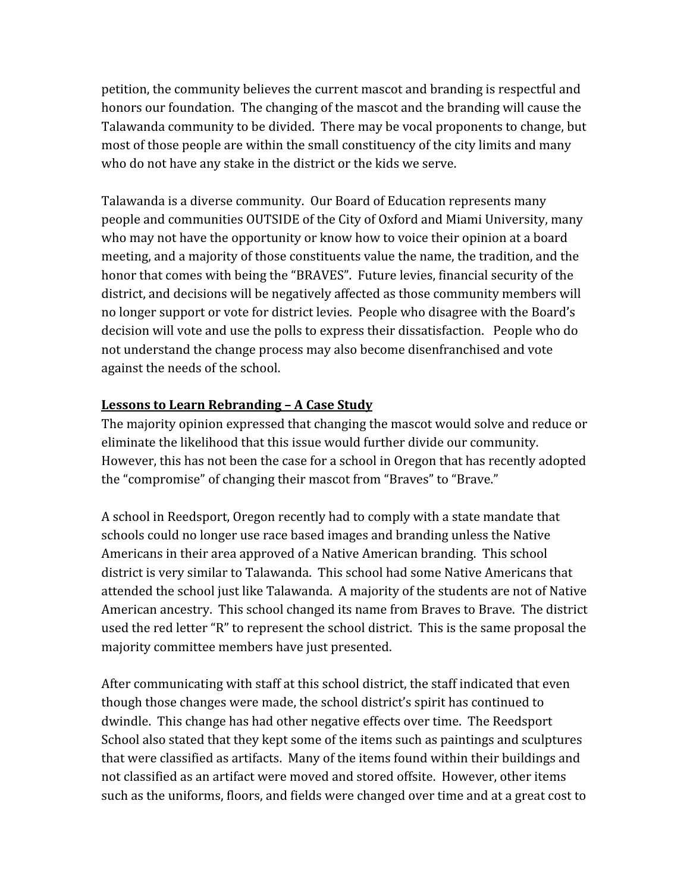petition, the community believes the current mascot and branding is respectful and honors our foundation. The changing of the mascot and the branding will cause the Talawanda community to be divided. There may be vocal proponents to change, but most of those people are within the small constituency of the city limits and many who do not have any stake in the district or the kids we serve.

Talawanda is a diverse community. Our Board of Education represents many people and communities OUTSIDE of the City of Oxford and Miami University, many who may not have the opportunity or know how to voice their opinion at a board meeting, and a majority of those constituents value the name, the tradition, and the honor that comes with being the "BRAVES". Future levies, financial security of the district, and decisions will be negatively affected as those community members will no longer support or vote for district levies. People who disagree with the Board's decision will vote and use the polls to express their dissatisfaction. People who do not understand the change process may also become disenfranchised and vote against the needs of the school.

### **Lessons to Learn Rebranding – A Case Study**

The majority opinion expressed that changing the mascot would solve and reduce or eliminate the likelihood that this issue would further divide our community. However, this has not been the case for a school in Oregon that has recently adopted the "compromise" of changing their mascot from "Braves" to "Brave."

A school in Reedsport, Oregon recently had to comply with a state mandate that schools could no longer use race based images and branding unless the Native Americans in their area approved of a Native American branding. This school district is very similar to Talawanda. This school had some Native Americans that attended the school just like Talawanda. A majority of the students are not of Native American ancestry. This school changed its name from Braves to Brave. The district used the red letter "R" to represent the school district. This is the same proposal the majority committee members have just presented.

After communicating with staff at this school district, the staff indicated that even though those changes were made, the school district's spirit has continued to dwindle. This change has had other negative effects over time. The Reedsport School also stated that they kept some of the items such as paintings and sculptures that were classified as artifacts. Many of the items found within their buildings and not classified as an artifact were moved and stored offsite. However, other items such as the uniforms, floors, and fields were changed over time and at a great cost to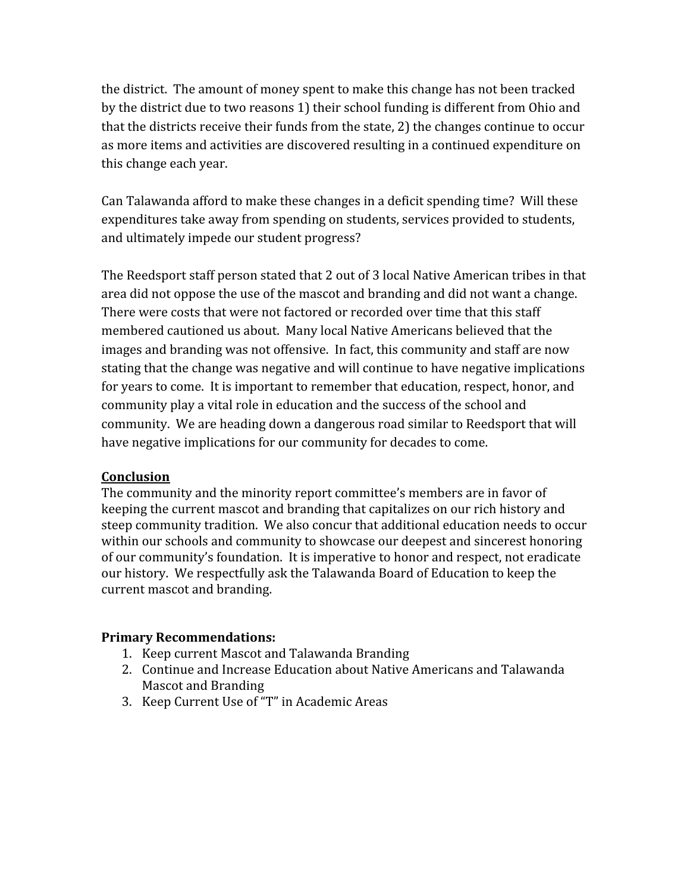the district. The amount of money spent to make this change has not been tracked by the district due to two reasons 1) their school funding is different from Ohio and that the districts receive their funds from the state, 2) the changes continue to occur as more items and activities are discovered resulting in a continued expenditure on this change each year.

Can Talawanda afford to make these changes in a deficit spending time? Will these expenditures take away from spending on students, services provided to students, and ultimately impede our student progress?

The Reedsport staff person stated that 2 out of 3 local Native American tribes in that area did not oppose the use of the mascot and branding and did not want a change. There were costs that were not factored or recorded over time that this staff membered cautioned us about. Many local Native Americans believed that the images and branding was not offensive. In fact, this community and staff are now stating that the change was negative and will continue to have negative implications for years to come. It is important to remember that education, respect, honor, and community play a vital role in education and the success of the school and community. We are heading down a dangerous road similar to Reedsport that will have negative implications for our community for decades to come.

#### **Conclusion**

The community and the minority report committee's members are in favor of keeping the current mascot and branding that capitalizes on our rich history and steep community tradition. We also concur that additional education needs to occur within our schools and community to showcase our deepest and sincerest honoring of our community's foundation. It is imperative to honor and respect, not eradicate our history. We respectfully ask the Talawanda Board of Education to keep the current mascot and branding.

#### **Primary Recommendations:**

- 1. Keep current Mascot and Talawanda Branding
- 2. Continue and Increase Education about Native Americans and Talawanda Mascot and Branding
- 3. Keep Current Use of "T" in Academic Areas